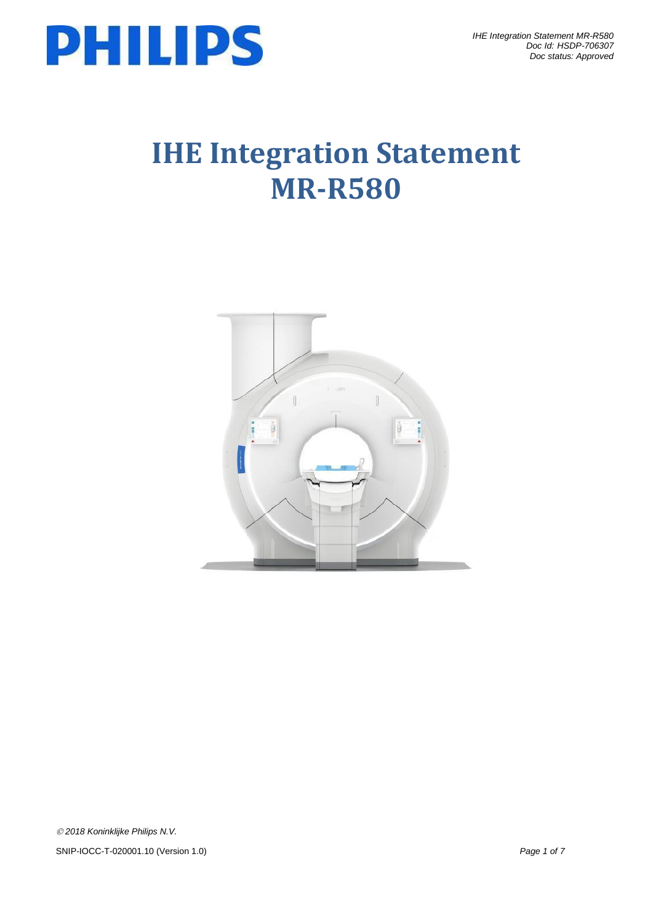

# **IHE Integration Statement MR-R580**

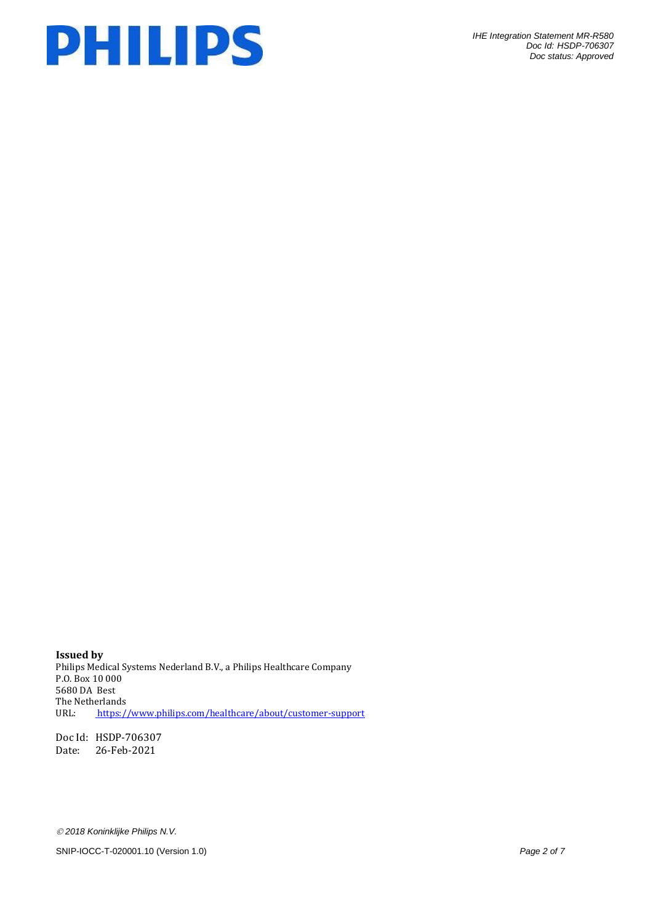

**Issued by** Philips Medical Systems Nederland B.V., a Philips Healthcare Company P.O. Box 10 000 5680 DA Best The Netherlands URL: <https://www.philips.com/healthcare/about/customer-support>

Doc Id: HSDP-706307 Date: 26-Feb-2021

*2018 Koninklijke Philips N.V.*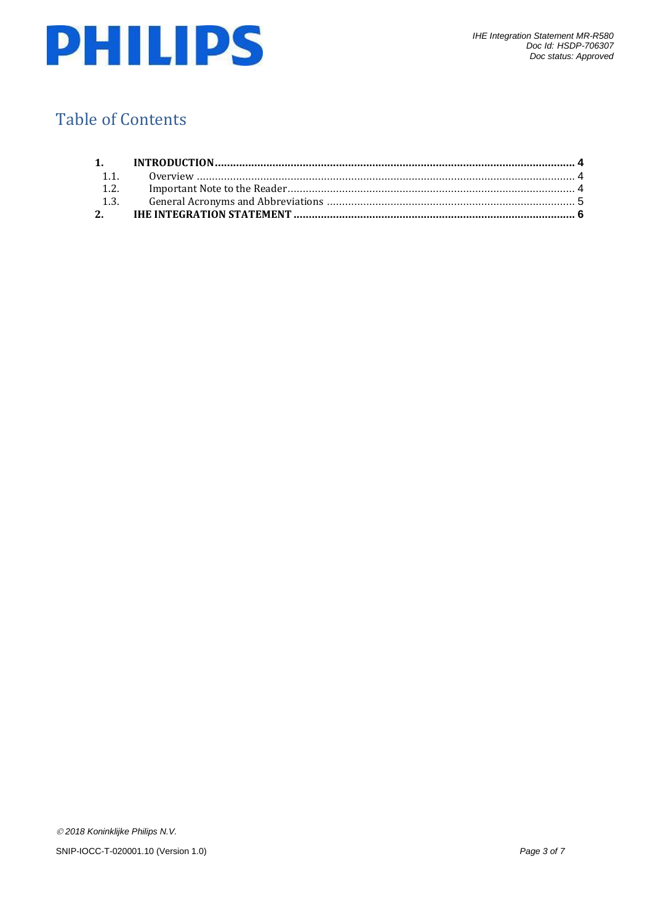

## Table of Contents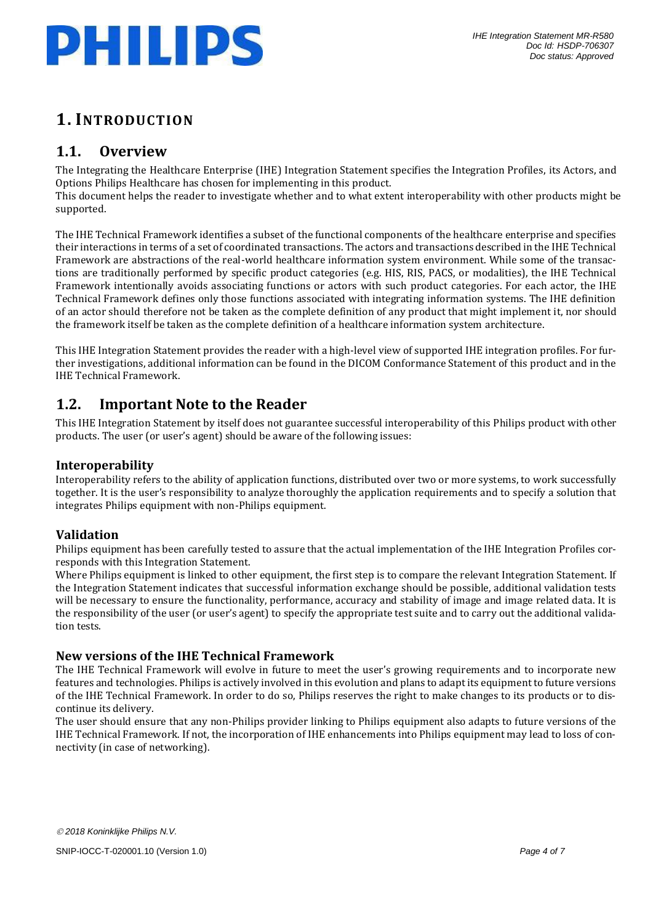

## <span id="page-3-0"></span>**1. INTRODUCTION**

## <span id="page-3-1"></span>**1.1. Overview**

The Integrating the Healthcare Enterprise (IHE) Integration Statement specifies the Integration Profiles, its Actors, and Options Philips Healthcare has chosen for implementing in this product.

This document helps the reader to investigate whether and to what extent interoperability with other products might be supported.

The IHE Technical Framework identifies a subset of the functional components of the healthcare enterprise and specifies their interactions in terms of a set of coordinated transactions. The actors and transactions described in the IHE Technical Framework are abstractions of the real-world healthcare information system environment. While some of the transactions are traditionally performed by specific product categories (e.g. HIS, RIS, PACS, or modalities), the IHE Technical Framework intentionally avoids associating functions or actors with such product categories. For each actor, the IHE Technical Framework defines only those functions associated with integrating information systems. The IHE definition of an actor should therefore not be taken as the complete definition of any product that might implement it, nor should the framework itself be taken as the complete definition of a healthcare information system architecture.

This IHE Integration Statement provides the reader with a high-level view of supported IHE integration profiles. For further investigations, additional information can be found in the DICOM Conformance Statement of this product and in the IHE Technical Framework.

## <span id="page-3-2"></span>**1.2. Important Note to the Reader**

This IHE Integration Statement by itself does not guarantee successful interoperability of this Philips product with other products. The user (or user's agent) should be aware of the following issues:

#### **Interoperability**

Interoperability refers to the ability of application functions, distributed over two or more systems, to work successfully together. It is the user's responsibility to analyze thoroughly the application requirements and to specify a solution that integrates Philips equipment with non-Philips equipment.

#### **Validation**

Philips equipment has been carefully tested to assure that the actual implementation of the IHE Integration Profiles corresponds with this Integration Statement.

Where Philips equipment is linked to other equipment, the first step is to compare the relevant Integration Statement. If the Integration Statement indicates that successful information exchange should be possible, additional validation tests will be necessary to ensure the functionality, performance, accuracy and stability of image and image related data. It is the responsibility of the user (or user's agent) to specify the appropriate test suite and to carry out the additional validation tests.

#### **New versions of the IHE Technical Framework**

The IHE Technical Framework will evolve in future to meet the user's growing requirements and to incorporate new features and technologies. Philips is actively involved in this evolution and plans to adapt its equipment to future versions of the IHE Technical Framework. In order to do so, Philips reserves the right to make changes to its products or to discontinue its delivery.

The user should ensure that any non-Philips provider linking to Philips equipment also adapts to future versions of the IHE Technical Framework. If not, the incorporation of IHE enhancements into Philips equipment may lead to loss of connectivity (in case of networking).

*2018 Koninklijke Philips N.V.*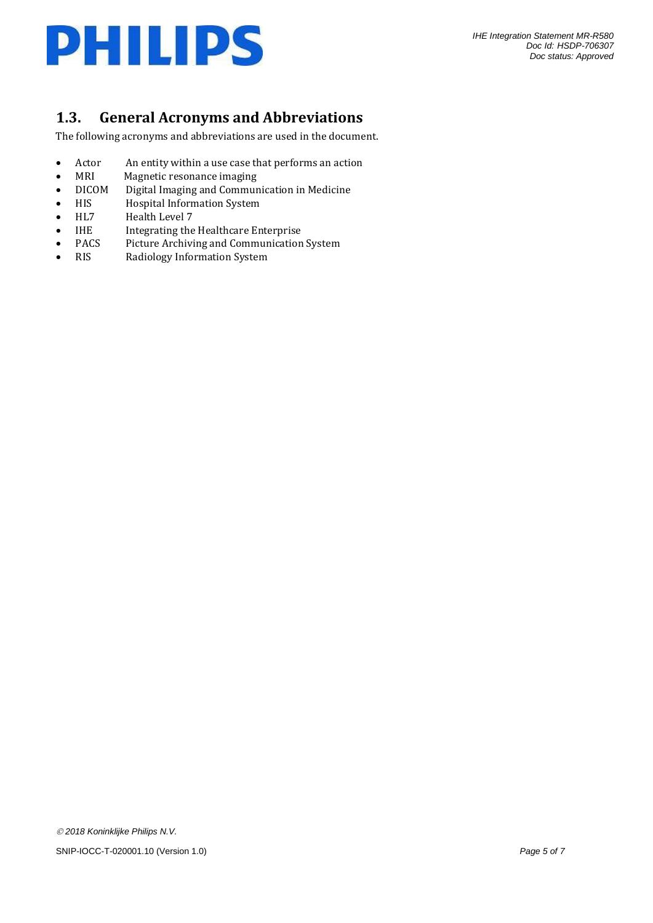

## <span id="page-4-0"></span>**1.3. General Acronyms and Abbreviations**

The following acronyms and abbreviations are used in the document.

- Actor An entity within a use case that performs an action<br>• MRI Magnetic resonance imaging
- MRI Magnetic resonance imaging<br>• DICOM Digital Imaging and Commur
- DICOM Digital Imaging and Communication in Medicine
- HIS Hospital Information System
- HL7 Health Level 7
- IHE Integrating the Healthcare Enterprise
- PACS Picture Archiving and Communication System
- RIS Radiology Information System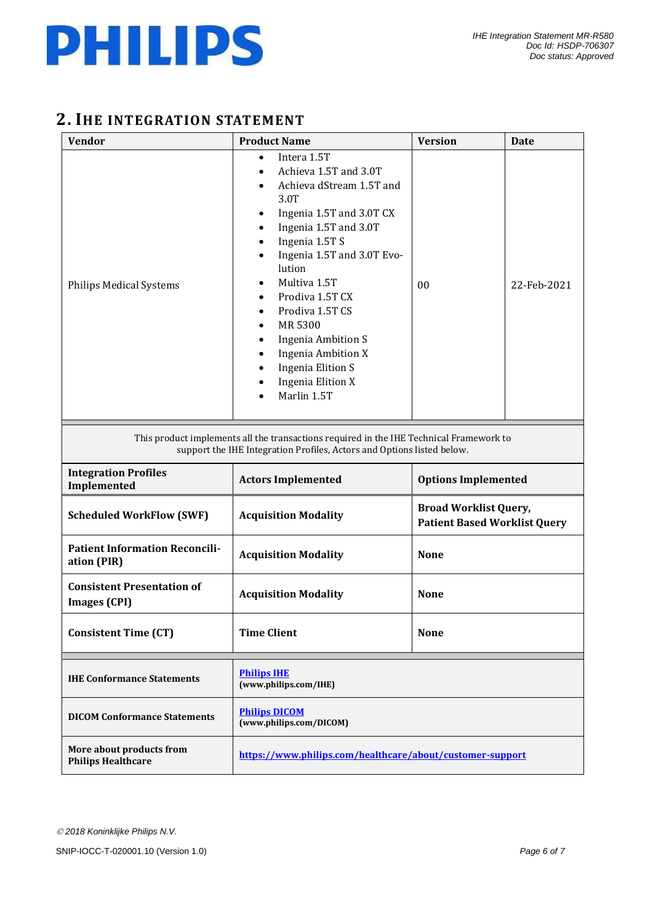

## <span id="page-5-0"></span>**2. IHE INTEGRATION STATEMENT**

| <b>Vendor</b>                                                                                                                                                     | <b>Product Name</b>                                                                                                                                                                                                                                                                                                                                                                                                 | <b>Version</b>                                                      | <b>Date</b> |  |  |
|-------------------------------------------------------------------------------------------------------------------------------------------------------------------|---------------------------------------------------------------------------------------------------------------------------------------------------------------------------------------------------------------------------------------------------------------------------------------------------------------------------------------------------------------------------------------------------------------------|---------------------------------------------------------------------|-------------|--|--|
| <b>Philips Medical Systems</b>                                                                                                                                    | Intera 1.5T<br>$\bullet$<br>Achieva 1.5T and 3.0T<br>Achieva dStream 1.5T and<br>$\bullet$<br>3.0T<br>Ingenia 1.5T and 3.0T CX<br>Ingenia 1.5T and 3.0T<br>Ingenia 1.5T S<br>Ingenia 1.5T and 3.0T Evo-<br>lution<br>Multiva 1.5T<br>Prodiva 1.5T CX<br>Prodiva 1.5T CS<br>MR 5300<br><b>Ingenia Ambition S</b><br><b>Ingenia Ambition X</b><br><b>Ingenia Elition S</b><br><b>Ingenia Elition X</b><br>Marlin 1.5T | 00                                                                  | 22-Feb-2021 |  |  |
| This product implements all the transactions required in the IHE Technical Framework to<br>support the IHE Integration Profiles, Actors and Options listed below. |                                                                                                                                                                                                                                                                                                                                                                                                                     |                                                                     |             |  |  |
| <b>Integration Profiles</b><br>Implemented                                                                                                                        | <b>Actors Implemented</b>                                                                                                                                                                                                                                                                                                                                                                                           | <b>Options Implemented</b>                                          |             |  |  |
| <b>Scheduled WorkFlow (SWF)</b>                                                                                                                                   | <b>Acquisition Modality</b>                                                                                                                                                                                                                                                                                                                                                                                         | <b>Broad Worklist Query,</b><br><b>Patient Based Worklist Query</b> |             |  |  |
| <b>Patient Information Reconcili-</b><br>ation (PIR)                                                                                                              | <b>Acquisition Modality</b>                                                                                                                                                                                                                                                                                                                                                                                         | <b>None</b>                                                         |             |  |  |
| <b>Consistent Presentation of</b><br><b>Images (CPI)</b>                                                                                                          | <b>Acquisition Modality</b>                                                                                                                                                                                                                                                                                                                                                                                         | <b>None</b>                                                         |             |  |  |
| <b>Consistent Time (CT)</b>                                                                                                                                       | <b>Time Client</b><br><b>None</b>                                                                                                                                                                                                                                                                                                                                                                                   |                                                                     |             |  |  |
| <b>IHE Conformance Statements</b>                                                                                                                                 | <b>Philips IHE</b><br>(www.philips.com/IHE)                                                                                                                                                                                                                                                                                                                                                                         |                                                                     |             |  |  |
| <b>DICOM Conformance Statements</b>                                                                                                                               | <b>Philips DICOM</b><br>(www.philips.com/DICOM)                                                                                                                                                                                                                                                                                                                                                                     |                                                                     |             |  |  |
| More about products from<br><b>Philips Healthcare</b>                                                                                                             | https://www.philips.com/healthcare/about/customer-support                                                                                                                                                                                                                                                                                                                                                           |                                                                     |             |  |  |